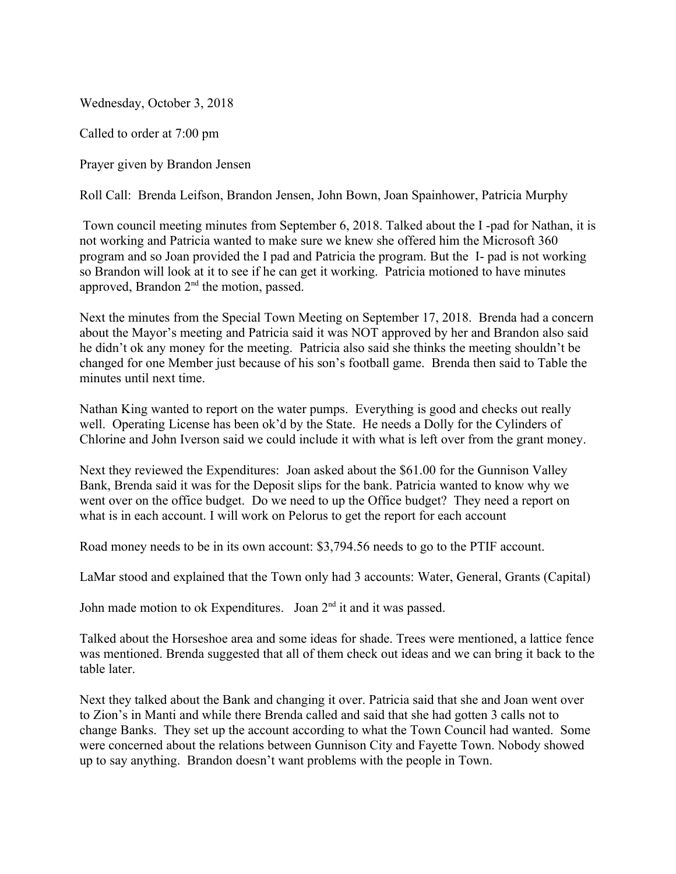Wednesday, October 3, 2018

Called to order at 7:00 pm

Prayer given by Brandon Jensen

Roll Call: Brenda Leifson, Brandon Jensen, John Bown, Joan Spainhower, Patricia Murphy

Town council meeting minutes from September 6, 2018. Talked about the I -pad for Nathan, it is not working and Patricia wanted to make sure we knew she offered him the Microsoft 360 program and so Joan provided the I pad and Patricia the program. But the I- pad is not working so Brandon will look at it to see if he can get it working. Patricia motioned to have minutes approved, Brandon 2nd the motion, passed.

Next the minutes from the Special Town Meeting on September 17, 2018. Brenda had a concern about the Mayor's meeting and Patricia said it was NOT approved by her and Brandon also said he didn't ok any money for the meeting. Patricia also said she thinks the meeting shouldn't be changed for one Member just because of his son's football game. Brenda then said to Table the minutes until next time.

Nathan King wanted to report on the water pumps. Everything is good and checks out really well. Operating License has been ok'd by the State. He needs a Dolly for the Cylinders of Chlorine and John Iverson said we could include it with what is left over from the grant money.

Next they reviewed the Expenditures: Joan asked about the \$61.00 for the Gunnison Valley Bank, Brenda said it was for the Deposit slips for the bank. Patricia wanted to know why we went over on the office budget. Do we need to up the Office budget? They need a report on what is in each account. I will work on Pelorus to get the report for each account

Road money needs to be in its own account: \$3,794.56 needs to go to the PTIF account.

LaMar stood and explained that the Town only had 3 accounts: Water, General, Grants (Capital)

John made motion to ok Expenditures. Joan  $2<sup>nd</sup>$  it and it was passed.

Talked about the Horseshoe area and some ideas for shade. Trees were mentioned, a lattice fence was mentioned. Brenda suggested that all of them check out ideas and we can bring it back to the table later.

Next they talked about the Bank and changing it over. Patricia said that she and Joan went over to Zion's in Manti and while there Brenda called and said that she had gotten 3 calls not to change Banks. They set up the account according to what the Town Council had wanted. Some were concerned about the relations between Gunnison City and Fayette Town. Nobody showed up to say anything. Brandon doesn't want problems with the people in Town.